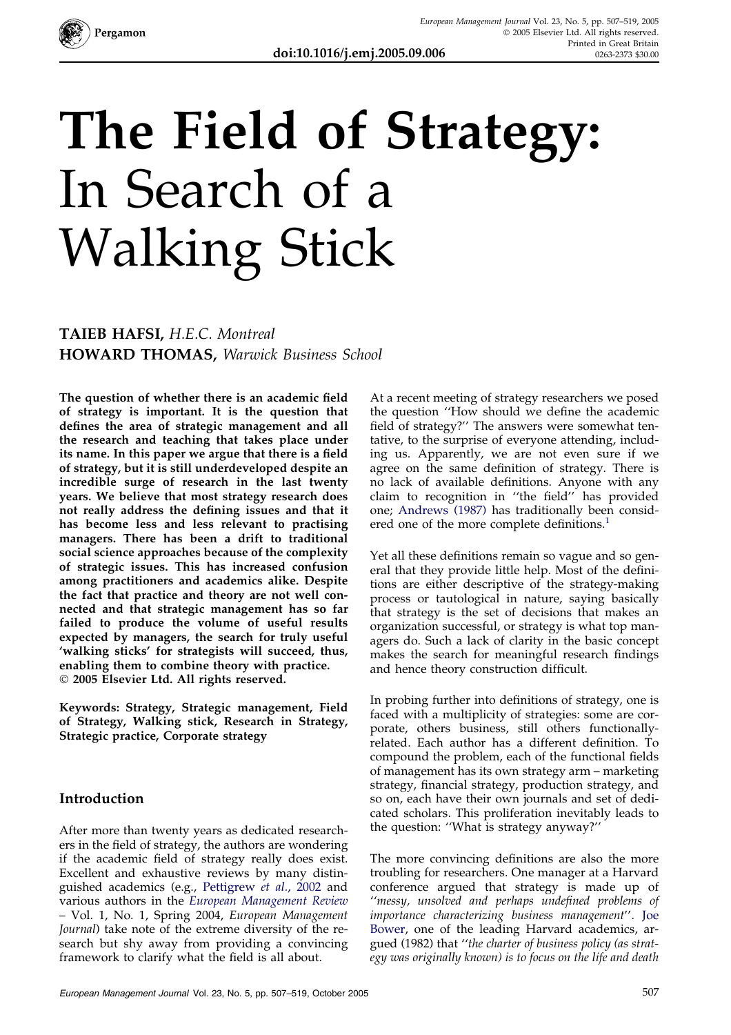

# The Field of Strategy: In Search of a Walking Stick

### TAIEB HAFSI, H.E.C. Montreal HOWARD THOMAS, Warwick Business School

The question of whether there is an academic field of strategy is important. It is the question that defines the area of strategic management and all the research and teaching that takes place under its name. In this paper we argue that there is a field of strategy, but it is still underdeveloped despite an incredible surge of research in the last twenty years. We believe that most strategy research does not really address the defining issues and that it has become less and less relevant to practising managers. There has been a drift to traditional social science approaches because of the complexity of strategic issues. This has increased confusion among practitioners and academics alike. Despite the fact that practice and theory are not well connected and that strategic management has so far failed to produce the volume of useful results expected by managers, the search for truly useful 'walking sticks' for strategists will succeed, thus, enabling them to combine theory with practice. 2005 Elsevier Ltd. All rights reserved.

Keywords: Strategy, Strategic management, Field of Strategy, Walking stick, Research in Strategy, Strategic practice, Corporate strategy

#### Introduction

After more than twenty years as dedicated researchers in the field of strategy, the authors are wondering if the academic field of strategy really does exist. Excellent and exhaustive reviews by many distinguished academics (e.g., [Pettigrew](#page--1-0) et al., 2002 and various authors in the [European Management Review](#page--1-0) – Vol. 1, No. 1, Spring 2004, European Management Journal) take note of the extreme diversity of the research but shy away from providing a convincing framework to clarify what the field is all about.

At a recent meeting of strategy researchers we posed the question ''How should we define the academic field of strategy?" The answers were somewhat tentative, to the surprise of everyone attending, including us. Apparently, we are not even sure if we agree on the same definition of strategy. There is no lack of available definitions. Anyone with any claim to recognition in ''the field'' has provided one; [Andrews \(1987\)](#page--1-0) has traditionally been considered one of the more complete definitions.<sup>1</sup>

Yet all these definitions remain so vague and so general that they provide little help. Most of the definitions are either descriptive of the strategy-making process or tautological in nature, saying basically that strategy is the set of decisions that makes an organization successful, or strategy is what top managers do. Such a lack of clarity in the basic concept makes the search for meaningful research findings and hence theory construction difficult.

In probing further into definitions of strategy, one is faced with a multiplicity of strategies: some are corporate, others business, still others functionallyrelated. Each author has a different definition. To compound the problem, each of the functional fields of management has its own strategy arm – marketing strategy, financial strategy, production strategy, and so on, each have their own journals and set of dedicated scholars. This proliferation inevitably leads to the question: ''What is strategy anyway?''

The more convincing definitions are also the more troubling for researchers. One manager at a Harvard conference argued that strategy is made up of ''messy, unsolved and perhaps undefined problems of importance characterizing business management''. [Joe](#page--1-0) [Bower,](#page--1-0) one of the leading Harvard academics, argued (1982) that ''the charter of business policy (as strategy was originally known) is to focus on the life and death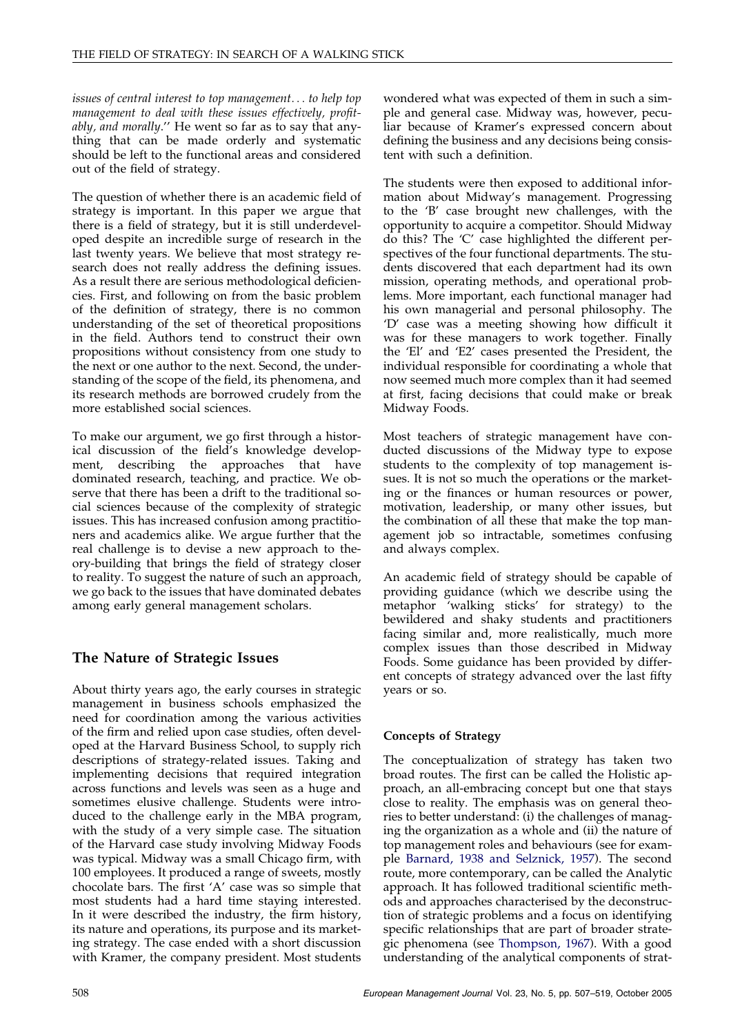issues of central interest to top management... to help top management to deal with these issues effectively, profitably, and morally.'' He went so far as to say that anything that can be made orderly and systematic should be left to the functional areas and considered out of the field of strategy.

The question of whether there is an academic field of strategy is important. In this paper we argue that there is a field of strategy, but it is still underdeveloped despite an incredible surge of research in the last twenty years. We believe that most strategy research does not really address the defining issues. As a result there are serious methodological deficiencies. First, and following on from the basic problem of the definition of strategy, there is no common understanding of the set of theoretical propositions in the field. Authors tend to construct their own propositions without consistency from one study to the next or one author to the next. Second, the understanding of the scope of the field, its phenomena, and its research methods are borrowed crudely from the more established social sciences.

To make our argument, we go first through a historical discussion of the field's knowledge development, describing the approaches that have dominated research, teaching, and practice. We observe that there has been a drift to the traditional social sciences because of the complexity of strategic issues. This has increased confusion among practitioners and academics alike. We argue further that the real challenge is to devise a new approach to theory-building that brings the field of strategy closer to reality. To suggest the nature of such an approach, we go back to the issues that have dominated debates among early general management scholars.

#### The Nature of Strategic Issues

About thirty years ago, the early courses in strategic management in business schools emphasized the need for coordination among the various activities of the firm and relied upon case studies, often developed at the Harvard Business School, to supply rich descriptions of strategy-related issues. Taking and implementing decisions that required integration across functions and levels was seen as a huge and sometimes elusive challenge. Students were introduced to the challenge early in the MBA program, with the study of a very simple case. The situation of the Harvard case study involving Midway Foods was typical. Midway was a small Chicago firm, with 100 employees. It produced a range of sweets, mostly chocolate bars. The first 'A' case was so simple that most students had a hard time staying interested. In it were described the industry, the firm history, its nature and operations, its purpose and its marketing strategy. The case ended with a short discussion with Kramer, the company president. Most students

wondered what was expected of them in such a simple and general case. Midway was, however, peculiar because of Kramer's expressed concern about defining the business and any decisions being consistent with such a definition.

The students were then exposed to additional information about Midway's management. Progressing to the 'B' case brought new challenges, with the opportunity to acquire a competitor. Should Midway do this? The 'C' case highlighted the different perspectives of the four functional departments. The students discovered that each department had its own mission, operating methods, and operational problems. More important, each functional manager had his own managerial and personal philosophy. The 'D' case was a meeting showing how difficult it was for these managers to work together. Finally the 'El' and 'E2' cases presented the President, the individual responsible for coordinating a whole that now seemed much more complex than it had seemed at first, facing decisions that could make or break Midway Foods.

Most teachers of strategic management have conducted discussions of the Midway type to expose students to the complexity of top management issues. It is not so much the operations or the marketing or the finances or human resources or power, motivation, leadership, or many other issues, but the combination of all these that make the top management job so intractable, sometimes confusing and always complex.

An academic field of strategy should be capable of providing guidance (which we describe using the metaphor 'walking sticks' for strategy) to the bewildered and shaky students and practitioners facing similar and, more realistically, much more complex issues than those described in Midway Foods. Some guidance has been provided by different concepts of strategy advanced over the last fifty years or so.

#### Concepts of Strategy

The conceptualization of strategy has taken two broad routes. The first can be called the Holistic approach, an all-embracing concept but one that stays close to reality. The emphasis was on general theories to better understand: (i) the challenges of managing the organization as a whole and (ii) the nature of top management roles and behaviours (see for example [Barnard, 1938 and Selznick, 1957](#page--1-0)). The second route, more contemporary, can be called the Analytic approach. It has followed traditional scientific methods and approaches characterised by the deconstruction of strategic problems and a focus on identifying specific relationships that are part of broader strategic phenomena (see [Thompson, 1967](#page--1-0)). With a good understanding of the analytical components of strat-